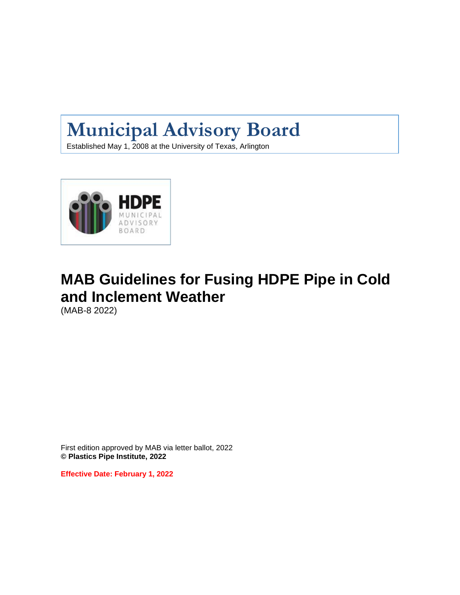# **Municipal Advisory Board**

Established May 1, 2008 at the University of Texas, Arlington



# **MAB Guidelines for Fusing HDPE Pipe in Cold and Inclement Weather**

(MAB-8 2022)

First edition approved by MAB via letter ballot, 2022 **© Plastics Pipe Institute, 2022**

**Effective Date: February 1, 2022**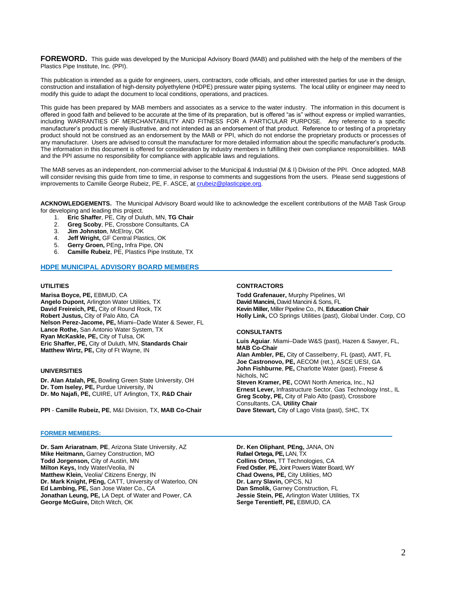**FOREWORD.** This guide was developed by the Municipal Advisory Board (MAB) and published with the help of the members of the Plastics Pipe Institute, Inc. (PPI).

This publication is intended as a guide for engineers, users, contractors, code officials, and other interested parties for use in the design, construction and installation of high-density polyethylene (HDPE) pressure water piping systems. The local utility or engineer may need to modify this guide to adapt the document to local conditions, operations, and practices.

This guide has been prepared by MAB members and associates as a service to the water industry. The information in this document is offered in good faith and believed to be accurate at the time of its preparation, but is offered "as is" without express or implied warranties, including WARRANTIES OF MERCHANTABILITY AND FITNESS FOR A PARTICULAR PURPOSE. Any reference to a specific manufacturer's product is merely illustrative, and not intended as an endorsement of that product. Reference to or testing of a proprietary product should not be construed as an endorsement by the MAB or PPI, which do not endorse the proprietary products or processes of any manufacturer. Users are advised to consult the manufacturer for more detailed information about the specific manufacturer's products. The information in this document is offered for consideration by industry members in fulfilling their own compliance responsibilities. MAB and the PPI assume no responsibility for compliance with applicable laws and regulations.

The MAB serves as an independent, non-commercial adviser to the Municipal & Industrial (M & I) Division of the PPI. Once adopted, MAB will consider revising this guide from time to time, in response to comments and suggestions from the users. Please send suggestions of improvements to Camille George Rubeiz, PE, F. ASCE, a[t crubeiz@plasticpipe.org.](mailto:crubeiz@plasticpipe.org)

**ACKNOWLEDGEMENTS.** The Municipal Advisory Board would like to acknowledge the excellent contributions of the MAB Task Group for developing and leading this project.

- 1. **Eric Shaffer**, PE, City of Duluth, MN, **TG Chair**
- 2. **Greg Scoby**, PE, Crossbore Consultants, CA
- 3. **Jim Johnston**, McElroy, OK
- 4. **Jeff Wright,** GF Central Plastics, OK
- 5. **Gerry Groen,** PEng**,** Infra Pipe, ON
- 6. **Camille Rubeiz**, PE, Plastics Pipe Institute, TX

# **HDPE MUNICIPAL ADVISORY BOARD MEMBERS**

### **UTILITIES**

**Marisa Boyce, PE,** EBMUD, CA **Angelo Dupont,** Arlington Water Utilities*,* TX **David Freireich, PE,** City of Round Rock, TX **Robert Justus,** City of Palo Alto, CA **Nelson Perez-Jacome, PE,** Miami–Dade Water & Sewer, FL **Lance Rothe,** San Antonio Water System, TX **Ryan McKaskle, PE,** City of Tulsa, OK **Eric Shaffer, PE,** City of Duluth, MN, **Standards Chair Matthew Wirtz, PE,** City of Ft Wayne, IN

#### **UNIVERSITIES**

**Dr. Alan Atalah, PE,** Bowling Green State University, OH **Dr. Tom Iseley, PE,** Purdue University, IN **Dr. Mo Najafi, PE,** CUIRE, UT Arlington, TX, **R&D Chair**

**PPI** - **Camille Rubeiz, PE**, M&I Division, TX, **MAB Co-Chair**

#### **FORMER MEMBERS:**

**Dr. Sam Ariaratnam**, **PE**, Arizona State University, AZ **Mike Heitmann,** Garney Construction, MO **Todd Jorgenson,** City of Austin, MN **Milton Keys,** Indy Water/Veolia, IN **Matthew Klein,** Veolia/ Citizens Energy, IN **Dr. Mark Knight, PEng,** CATT, University of Waterloo, ON **Ed Lambing, PE,** San Jose Water Co., CA **Jonathan Leung, PE,** LA Dept. of Water and Power, CA **George McGuire,** Ditch Witch, OK

# **CONTRACTORS**

**Todd Grafenauer,** Murphy Pipelines, WI **David Mancini,** David Mancini & Sons, FL **Kevin Miller,** Miller Pipeline Co., IN, **Education Chair Holly Link,** CO Springs Utilities (past), Global Under. Corp, CO

#### **CONSULTANTS**

**Luis Aguiar**. Miami–Dade W&S (past), Hazen & Sawyer, FL, **MAB Co-Chair Alan Ambler, PE,** City of Casselberry, FL (past), AMT, FL **Joe Castronovo, PE,** AECOM (ret.), ASCE UESI, GA **John Fishburne**, **PE,** Charlotte Water (past), Freese & Nichols, NC **Steven Kramer, PE,** COWI North America, Inc., NJ **Ernest Lever,** Infrastructure Sector, Gas Technology Inst., IL **Greg Scoby, PE,** City of Palo Alto (past), Crossbore Consultants, CA, **Utility Chair Dave Stewart,** City of Lago Vista (past), SHC, TX

**Dr. Ken Oliphant**, **PEng,** JANA, ON **Rafael Ortega, PE,** LAN, TX **Collins Orton,** TT Technologies, CA **Fred Ostler**, **PE,** Joint Powers Water Board, WY **Chad Owens, PE,** City Utilities, MO **Dr. Larry Slavin,** OPCS, NJ **Dan Smolik,** Garney Construction, FL **Jessie Stein, PE,** Arlington Water Utilities*,* TX **Serge Terentieff, PE,** EBMUD, CA